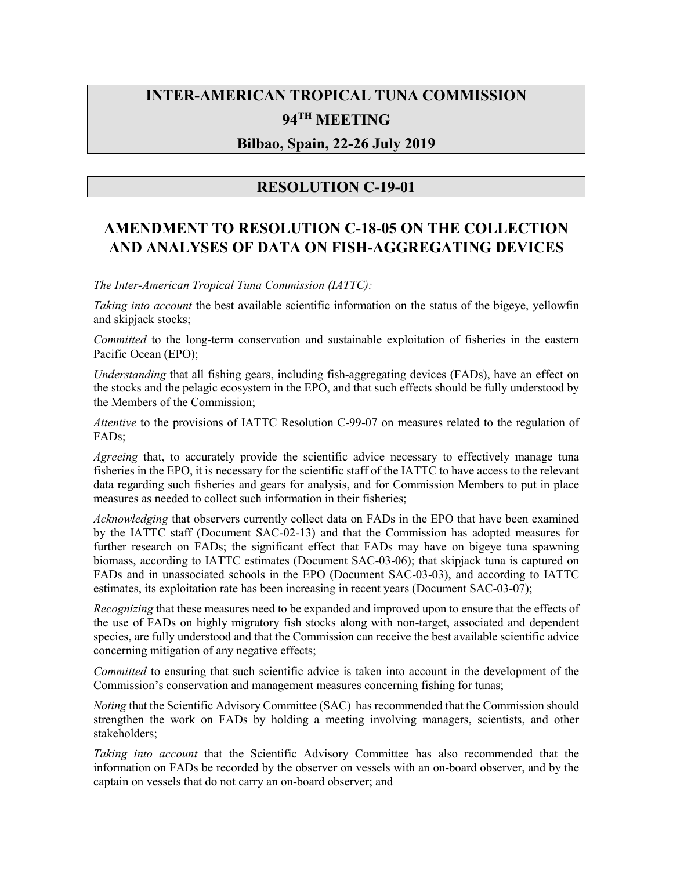# **INTER-AMERICAN TROPICAL TUNA COMMISSION 94TH MEETING**

### **Bilbao, Spain, 22-26 July 2019**

## **RESOLUTION C-19-01**

## **AMENDMENT TO RESOLUTION C-18-05 ON THE COLLECTION AND ANALYSES OF DATA ON FISH-AGGREGATING DEVICES**

*The Inter-American Tropical Tuna Commission (IATTC):* 

*Taking into account* the best available scientific information on the status of the bigeye, yellowfin and skipjack stocks;

*Committed* to the long-term conservation and sustainable exploitation of fisheries in the eastern Pacific Ocean (EPO);

*Understanding* that all fishing gears, including fish-aggregating devices (FADs), have an effect on the stocks and the pelagic ecosystem in the EPO, and that such effects should be fully understood by the Members of the Commission;

*Attentive* to the provisions of IATTC Resolution C-99-07 on measures related to the regulation of FADs;

*Agreeing* that, to accurately provide the scientific advice necessary to effectively manage tuna fisheries in the EPO, it is necessary for the scientific staff of the IATTC to have access to the relevant data regarding such fisheries and gears for analysis, and for Commission Members to put in place measures as needed to collect such information in their fisheries;

*Acknowledging* that observers currently collect data on FADs in the EPO that have been examined by the IATTC staff (Document SAC-02-13) and that the Commission has adopted measures for further research on FADs; the significant effect that FADs may have on bigeye tuna spawning biomass, according to IATTC estimates (Document SAC-03-06); that skipjack tuna is captured on FADs and in unassociated schools in the EPO (Document SAC-03-03), and according to IATTC estimates, its exploitation rate has been increasing in recent years (Document SAC-03-07);

*Recognizing* that these measures need to be expanded and improved upon to ensure that the effects of the use of FADs on highly migratory fish stocks along with non-target, associated and dependent species, are fully understood and that the Commission can receive the best available scientific advice concerning mitigation of any negative effects;

*Committed* to ensuring that such scientific advice is taken into account in the development of the Commission's conservation and management measures concerning fishing for tunas;

*Noting* that the Scientific Advisory Committee (SAC) has recommended that the Commission should strengthen the work on FADs by holding a meeting involving managers, scientists, and other stakeholders;

*Taking into account* that the Scientific Advisory Committee has also recommended that the information on FADs be recorded by the observer on vessels with an on-board observer, and by the captain on vessels that do not carry an on-board observer; and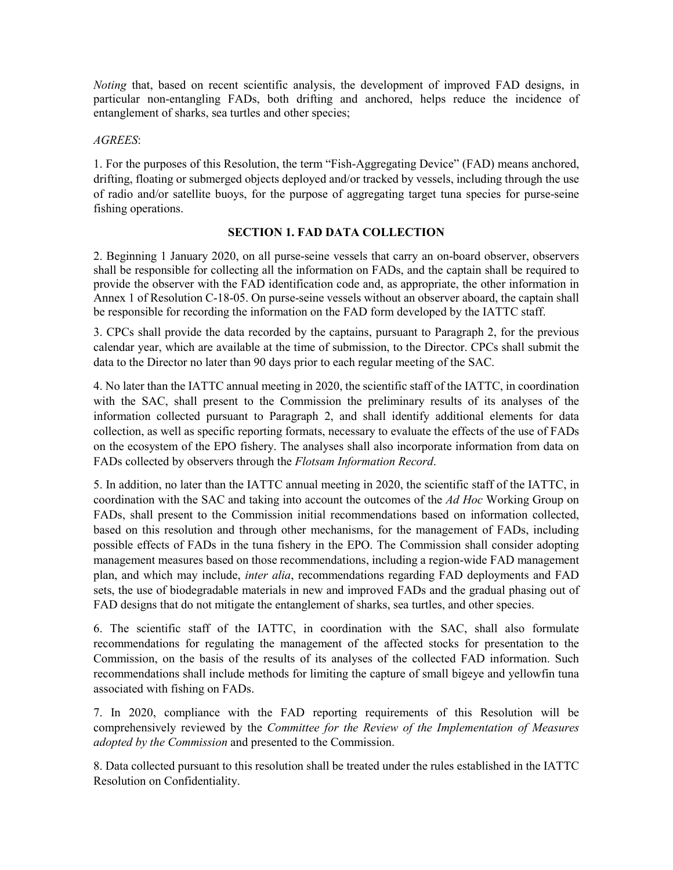*Noting* that, based on recent scientific analysis, the development of improved FAD designs, in particular non-entangling FADs, both drifting and anchored, helps reduce the incidence of entanglement of sharks, sea turtles and other species;

#### *AGREES*:

1. For the purposes of this Resolution, the term "Fish-Aggregating Device" (FAD) means anchored, drifting, floating or submerged objects deployed and/or tracked by vessels, including through the use of radio and/or satellite buoys, for the purpose of aggregating target tuna species for purse-seine fishing operations.

#### **SECTION 1. FAD DATA COLLECTION**

2. Beginning 1 January 2020, on all purse-seine vessels that carry an on-board observer, observers shall be responsible for collecting all the information on FADs, and the captain shall be required to provide the observer with the FAD identification code and, as appropriate, the other information in Annex 1 of Resolution C-18-05. On purse-seine vessels without an observer aboard, the captain shall be responsible for recording the information on the FAD form developed by the IATTC staff.

3. CPCs shall provide the data recorded by the captains, pursuant to Paragraph 2, for the previous calendar year, which are available at the time of submission, to the Director. CPCs shall submit the data to the Director no later than 90 days prior to each regular meeting of the SAC.

4. No later than the IATTC annual meeting in 2020, the scientific staff of the IATTC, in coordination with the SAC, shall present to the Commission the preliminary results of its analyses of the information collected pursuant to Paragraph 2, and shall identify additional elements for data collection, as well as specific reporting formats, necessary to evaluate the effects of the use of FADs on the ecosystem of the EPO fishery. The analyses shall also incorporate information from data on FADs collected by observers through the *Flotsam Information Record*.

5. In addition, no later than the IATTC annual meeting in 2020, the scientific staff of the IATTC, in coordination with the SAC and taking into account the outcomes of the *Ad Hoc* Working Group on FADs, shall present to the Commission initial recommendations based on information collected, based on this resolution and through other mechanisms, for the management of FADs, including possible effects of FADs in the tuna fishery in the EPO. The Commission shall consider adopting management measures based on those recommendations, including a region-wide FAD management plan, and which may include, *inter alia*, recommendations regarding FAD deployments and FAD sets, the use of biodegradable materials in new and improved FADs and the gradual phasing out of FAD designs that do not mitigate the entanglement of sharks, sea turtles, and other species.

6. The scientific staff of the IATTC, in coordination with the SAC, shall also formulate recommendations for regulating the management of the affected stocks for presentation to the Commission, on the basis of the results of its analyses of the collected FAD information. Such recommendations shall include methods for limiting the capture of small bigeye and yellowfin tuna associated with fishing on FADs.

7. In 2020, compliance with the FAD reporting requirements of this Resolution will be comprehensively reviewed by the *Committee for the Review of the Implementation of Measures adopted by the Commission* and presented to the Commission.

8. Data collected pursuant to this resolution shall be treated under the rules established in the IATTC Resolution on Confidentiality.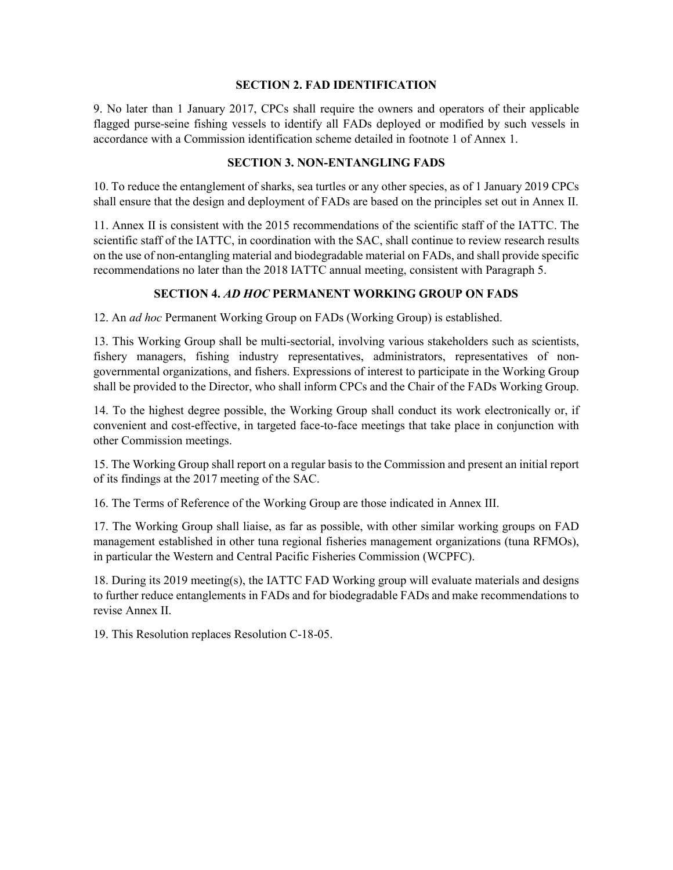#### **SECTION 2. FAD IDENTIFICATION**

9. No later than 1 January 2017, CPCs shall require the owners and operators of their applicable flagged purse-seine fishing vessels to identify all FADs deployed or modified by such vessels in accordance with a Commission identification scheme detailed in footnote 1 of Annex 1.

#### **SECTION 3. NON-ENTANGLING FADS**

10. To reduce the entanglement of sharks, sea turtles or any other species, as of 1 January 2019 CPCs shall ensure that the design and deployment of FADs are based on the principles set out in Annex II.

11. Annex II is consistent with the 2015 recommendations of the scientific staff of the IATTC. The scientific staff of the IATTC, in coordination with the SAC, shall continue to review research results on the use of non-entangling material and biodegradable material on FADs, and shall provide specific recommendations no later than the 2018 IATTC annual meeting, consistent with Paragraph 5.

#### **SECTION 4.** *AD HOC* **PERMANENT WORKING GROUP ON FADS**

12. An *ad hoc* Permanent Working Group on FADs (Working Group) is established.

13. This Working Group shall be multi-sectorial, involving various stakeholders such as scientists, fishery managers, fishing industry representatives, administrators, representatives of nongovernmental organizations, and fishers. Expressions of interest to participate in the Working Group shall be provided to the Director, who shall inform CPCs and the Chair of the FADs Working Group.

14. To the highest degree possible, the Working Group shall conduct its work electronically or, if convenient and cost-effective, in targeted face-to-face meetings that take place in conjunction with other Commission meetings.

15. The Working Group shall report on a regular basis to the Commission and present an initial report of its findings at the 2017 meeting of the SAC.

16. The Terms of Reference of the Working Group are those indicated in Annex III.

17. The Working Group shall liaise, as far as possible, with other similar working groups on FAD management established in other tuna regional fisheries management organizations (tuna RFMOs), in particular the Western and Central Pacific Fisheries Commission (WCPFC).

18. During its 2019 meeting(s), the IATTC FAD Working group will evaluate materials and designs to further reduce entanglements in FADs and for biodegradable FADs and make recommendations to revise Annex II.

19. This Resolution replaces Resolution C-18-05.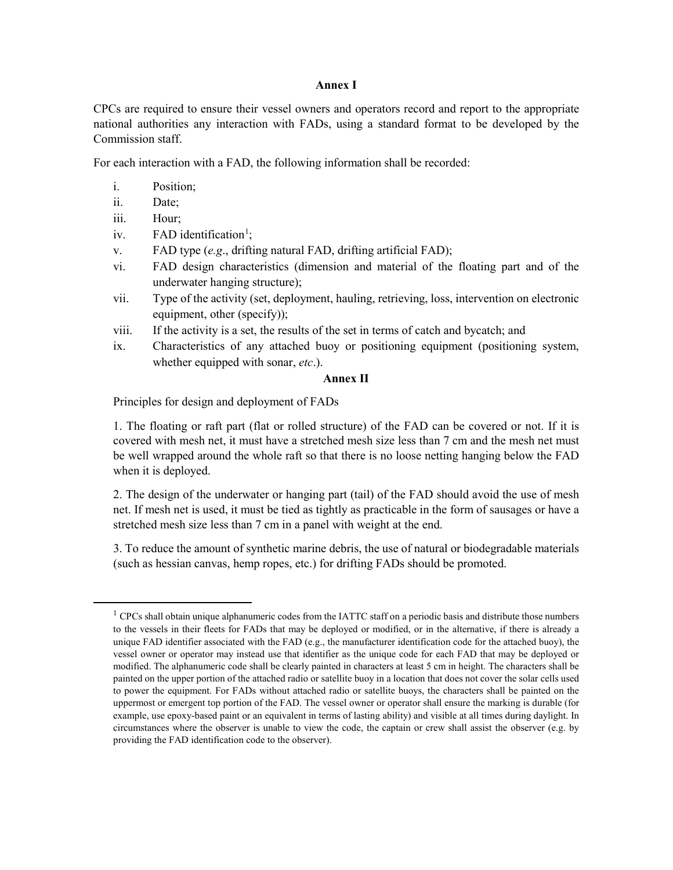#### **Annex I**

CPCs are required to ensure their vessel owners and operators record and report to the appropriate national authorities any interaction with FADs, using a standard format to be developed by the Commission staff.

For each interaction with a FAD, the following information shall be recorded:

- i. Position;
- ii. Date;
- iii. Hour;

<span id="page-3-0"></span> $\overline{a}$ 

- iv.  $FAD$  identification<sup>[1](#page-3-0)</sup>;
- v. FAD type (*e.g*., drifting natural FAD, drifting artificial FAD);
- vi. FAD design characteristics (dimension and material of the floating part and of the underwater hanging structure);
- vii. Type of the activity (set, deployment, hauling, retrieving, loss, intervention on electronic equipment, other (specify));
- viii. If the activity is a set, the results of the set in terms of catch and bycatch; and
- ix. Characteristics of any attached buoy or positioning equipment (positioning system, whether equipped with sonar, *etc*.).

#### **Annex II**

Principles for design and deployment of FADs

1. The floating or raft part (flat or rolled structure) of the FAD can be covered or not. If it is covered with mesh net, it must have a stretched mesh size less than 7 cm and the mesh net must be well wrapped around the whole raft so that there is no loose netting hanging below the FAD when it is deployed.

2. The design of the underwater or hanging part (tail) of the FAD should avoid the use of mesh net. If mesh net is used, it must be tied as tightly as practicable in the form of sausages or have a stretched mesh size less than 7 cm in a panel with weight at the end.

3. To reduce the amount of synthetic marine debris, the use of natural or biodegradable materials (such as hessian canvas, hemp ropes, etc.) for drifting FADs should be promoted.

 $<sup>1</sup>$  CPCs shall obtain unique alphanumeric codes from the IATTC staff on a periodic basis and distribute those numbers</sup> to the vessels in their fleets for FADs that may be deployed or modified, or in the alternative, if there is already a unique FAD identifier associated with the FAD (e.g., the manufacturer identification code for the attached buoy), the vessel owner or operator may instead use that identifier as the unique code for each FAD that may be deployed or modified. The alphanumeric code shall be clearly painted in characters at least 5 cm in height. The characters shall be painted on the upper portion of the attached radio or satellite buoy in a location that does not cover the solar cells used to power the equipment. For FADs without attached radio or satellite buoys, the characters shall be painted on the uppermost or emergent top portion of the FAD. The vessel owner or operator shall ensure the marking is durable (for example, use epoxy-based paint or an equivalent in terms of lasting ability) and visible at all times during daylight. In circumstances where the observer is unable to view the code, the captain or crew shall assist the observer (e.g. by providing the FAD identification code to the observer).